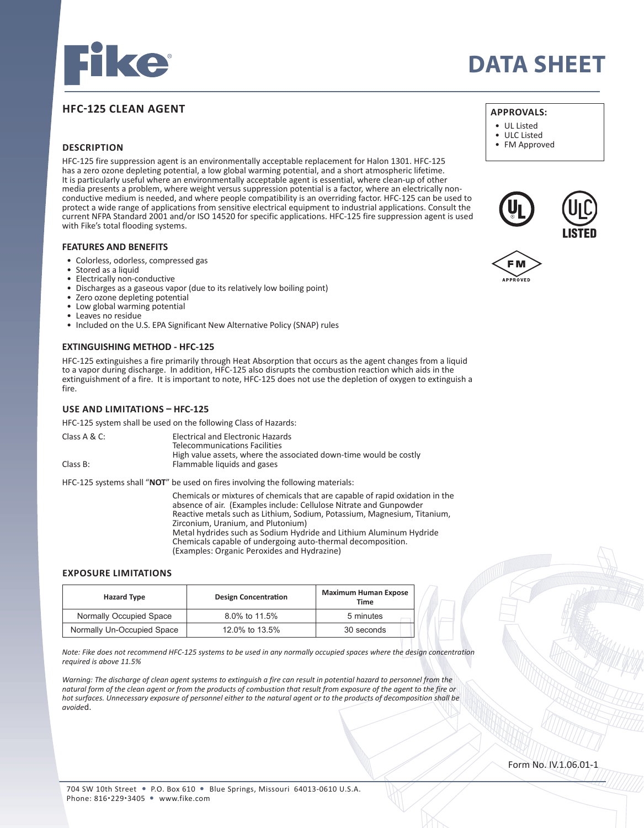

# **HFC-125 CLEAN AGENT**

## **DESCRIPTION**

HFC-125 fire suppression agent is an environmentally acceptable replacement for Halon 1301. HFC-125 has a zero ozone depleting potential, a low global warming potential, and a short atmospheric lifetime. It is particularly useful where an environmentally acceptable agent is essential, where clean-up of other media presents a problem, where weight versus suppression potential is a factor, where an electrically nonconductive medium is needed, and where people compatibility is an overriding factor. HFC-125 can be used to protect a wide range of applications from sensitive electrical equipment to industrial applications. Consult the current NFPA Standard 2001 and/or ISO 14520 for specific applications. HFC-125 fire suppression agent is used with Fike's total flooding systems.

#### **FEATURES AND BENEFITS**

- Colorless, odorless, compressed gas
- Stored as a liquid
- Electrically non-conductive
- Discharges as a gaseous vapor (due to its relatively low boiling point)
- Zero ozone depleting potential
- Low global warming potential
- Leaves no residue
- Included on the U.S. EPA Significant New Alternative Policy (SNAP) rules

#### **EXTINGUISHING METHOD - HFC-125**

HFC-125 extinguishes a fire primarily through Heat Absorption that occurs as the agent changes from a liquid to a vapor during discharge. In addition, HFC-125 also disrupts the combustion reaction which aids in the extinguishment of a fire. It is important to note, HFC-125 does not use the depletion of oxygen to extinguish a fire.

## **USE AND LIMITATIONS – HFC-125**

HFC-125 system shall be used on the following Class of Hazards:

| Class $A & C$ : | Electrical and Electronic Hazards                                 |
|-----------------|-------------------------------------------------------------------|
|                 | Telecommunications Facilities                                     |
|                 | High value assets, where the associated down-time would be costly |
| Class B:        | Flammable liquids and gases                                       |

HFC-125 systems shall "**NOT**" be used on fires involving the following materials:

 Chemicals or mixtures of chemicals that are capable of rapid oxidation in the absence of air. (Examples include: Cellulose Nitrate and Gunpowder Reactive metals such as Lithium, Sodium, Potassium, Magnesium, Titanium, Zirconium, Uranium, and Plutonium) Metal hydrides such as Sodium Hydride and Lithium Aluminum Hydride Chemicals capable of undergoing auto-thermal decomposition. (Examples: Organic Peroxides and Hydrazine)

### **EXPOSURE LIMITATIONS**

| <b>Hazard Type</b>         | <b>Design Concentration</b> | <b>Maximum Human Expose</b><br>Time |
|----------------------------|-----------------------------|-------------------------------------|
| Normally Occupied Space    | 8.0% to 11.5%               | 5 minutes                           |
| Normally Un-Occupied Space | 12.0% to 13.5%              | 30 seconds                          |

*Note: Fike does not recommend HFC-125 systems to be used in any normally occupied spaces where the design concentration required is above 11.5%*

*Warning: The discharge of clean agent systems to extinguish a fire can result in potential hazard to personnel from the natural form of the clean agent or from the products of combustion that result from exposure of the agent to the fire or hot surfaces. Unnecessary exposure of personnel either to the natural agent or to the products of decomposition shall be avoide*d.

# **DATA SHEET**

# **APPROVALS:**

- UL Listed
- ULC Listed
- FM Approved





Form No. IV.1.06.01-1